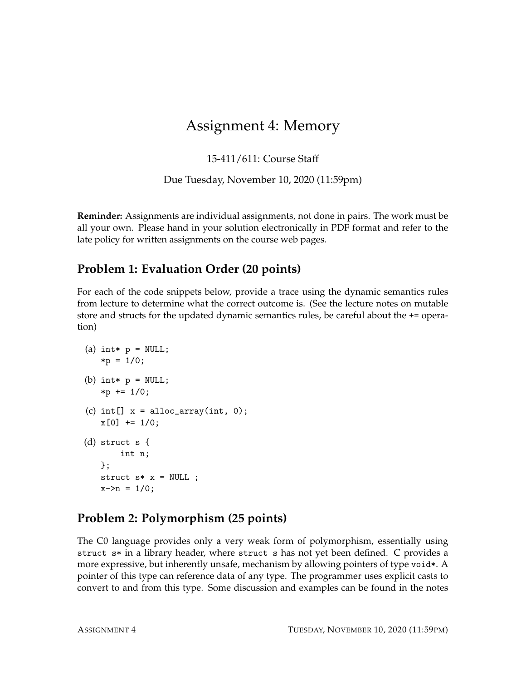# Assignment 4: Memory

15-411/611: Course Staff

Due Tuesday, November 10, 2020 (11:59pm)

**Reminder:** Assignments are individual assignments, not done in pairs. The work must be all your own. Please hand in your solution electronically in PDF format and refer to the late policy for written assignments on the course web pages.

### **Problem 1: Evaluation Order (20 points)**

For each of the code snippets below, provide a trace using the dynamic semantics rules from lecture to determine what the correct outcome is. (See the lecture notes on mutable store and structs for the updated dynamic semantics rules, be careful about the += operation)

```
(a) int* p = NULL;*p = 1/0;(b) int* p = NULL;*p += 1/0;(c) int[] x = alloc_array(int, 0);
   x[0] += 1/0;
(d) struct s {
        int n;
   \}:
   struct s * x = NULL;
   x \rightarrow n = 1/0;
```
## **Problem 2: Polymorphism (25 points)**

The C0 language provides only a very weak form of polymorphism, essentially using struct s\* in a library header, where struct s has not yet been defined. C provides a more expressive, but inherently unsafe, mechanism by allowing pointers of type void\*. A pointer of this type can reference data of any type. The programmer uses explicit casts to convert to and from this type. Some discussion and examples can be found in the notes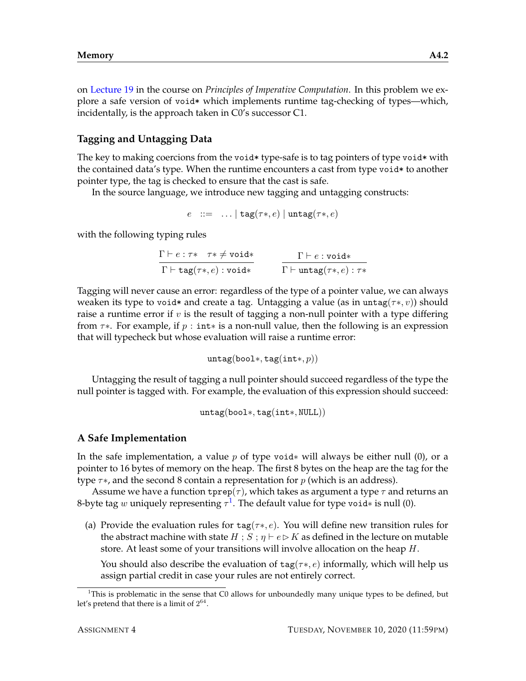on [Lecture 19](http://www.cs.cmu.edu/~fp/courses/15122-f12/lectures/19-poly.pdf) in the course on *Principles of Imperative Computation*. In this problem we explore a safe version of void\* which implements runtime tag-checking of types—which, incidentally, is the approach taken in C0's successor C1.

#### **Tagging and Untagging Data**

The key to making coercions from the void \* type-safe is to tag pointers of type void \* with the contained data's type. When the runtime encounters a cast from type void\* to another pointer type, the tag is checked to ensure that the cast is safe.

In the source language, we introduce new tagging and untagging constructs:

$$
e \ ::= \ \ldots \mid \texttt{tag}(\tau*, e) \mid \texttt{untag}(\tau*, e)
$$

with the following typing rules

| $\Gamma \vdash e : \tau * \quad \tau * \neq \texttt{void} *$ | $\Gamma \vdash e : \text{void} *$            |
|--------------------------------------------------------------|----------------------------------------------|
| $\Gamma \vdash \texttt{tag}(\tau*,e) : \texttt{void}*$       | $\Gamma \vdash$ untag $(\tau *, e) : \tau *$ |

Tagging will never cause an error: regardless of the type of a pointer value, we can always weaken its type to void\* and create a tag. Untagging a value (as in untag( $\tau*, v$ )) should raise a runtime error if  $v$  is the result of tagging a non-null pointer with a type differing from  $\tau$ \*. For example, if  $p : \text{int}$  is a non-null value, then the following is an expression that will typecheck but whose evaluation will raise a runtime error:

untag(bool∗, tag(int∗, p))

Untagging the result of tagging a null pointer should succeed regardless of the type the null pointer is tagged with. For example, the evaluation of this expression should succeed:

untag(bool∗, tag(int∗, NULL))

#### **A Safe Implementation**

In the safe implementation, a value p of type void $*$  will always be either null (0), or a pointer to 16 bytes of memory on the heap. The first 8 bytes on the heap are the tag for the type  $\tau$ \*, and the second 8 contain a representation for p (which is an address).

Assume we have a function  $\text{type}(\tau)$ , which takes as argument a type  $\tau$  and returns an 8-byte tag  $w$  uniquely representing  $\tau^1$  $\tau^1$ . The default value for type void∗ is null (0).

(a) Provide the evaluation rules for  $tag(\tau*, \epsilon)$ . You will define new transition rules for the abstract machine with state  $H : S : \eta \vdash e \rhd K$  as defined in the lecture on mutable store. At least some of your transitions will involve allocation on the heap H.

You should also describe the evaluation of  $tag(\tau*, e)$  informally, which will help us assign partial credit in case your rules are not entirely correct.

<span id="page-1-0"></span><sup>&</sup>lt;sup>1</sup>This is problematic in the sense that C0 allows for unboundedly many unique types to be defined, but let's pretend that there is a limit of  $2^{64}$ .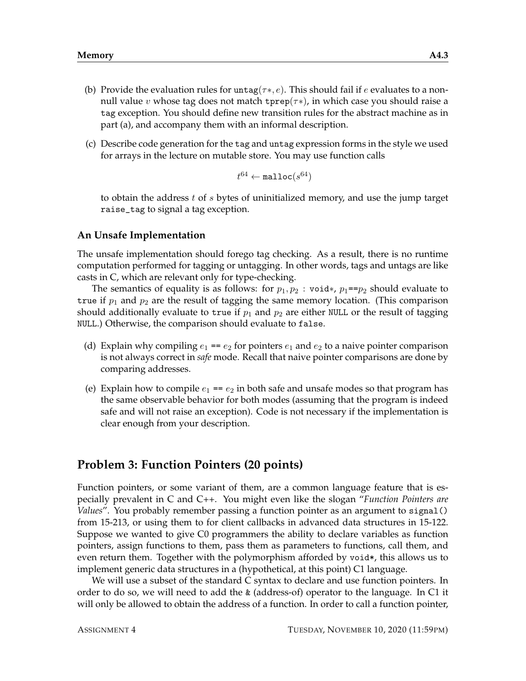- (b) Provide the evaluation rules for  $\text{untag}(\tau^*, e)$ . This should fail if e evaluates to a nonnull value v whose tag does not match tprep( $\tau$ \*), in which case you should raise a tag exception. You should define new transition rules for the abstract machine as in part (a), and accompany them with an informal description.
- (c) Describe code generation for the tag and untag expression forms in the style we used for arrays in the lecture on mutable store. You may use function calls

$$
t^{64} \leftarrow \texttt{malloc}(s^{64})
$$

to obtain the address  $t$  of  $s$  bytes of uninitialized memory, and use the jump target raise\_tag to signal a tag exception.

#### **An Unsafe Implementation**

The unsafe implementation should forego tag checking. As a result, there is no runtime computation performed for tagging or untagging. In other words, tags and untags are like casts in C, which are relevant only for type-checking.

The semantics of equality is as follows: for  $p_1, p_2$ : void $\ast$ ,  $p_1 = p_2$  should evaluate to true if  $p_1$  and  $p_2$  are the result of tagging the same memory location. (This comparison should additionally evaluate to true if  $p_1$  and  $p_2$  are either NULL or the result of tagging NULL.) Otherwise, the comparison should evaluate to false.

- (d) Explain why compiling  $e_1 = e_2$  for pointers  $e_1$  and  $e_2$  to a naive pointer comparison is not always correct in *safe* mode. Recall that naive pointer comparisons are done by comparing addresses.
- (e) Explain how to compile  $e_1 = e_2$  in both safe and unsafe modes so that program has the same observable behavior for both modes (assuming that the program is indeed safe and will not raise an exception). Code is not necessary if the implementation is clear enough from your description.

### **Problem 3: Function Pointers (20 points)**

Function pointers, or some variant of them, are a common language feature that is especially prevalent in C and C++. You might even like the slogan "*Function Pointers are Values*". You probably remember passing a function pointer as an argument to signal() from 15-213, or using them to for client callbacks in advanced data structures in 15-122. Suppose we wanted to give C0 programmers the ability to declare variables as function pointers, assign functions to them, pass them as parameters to functions, call them, and even return them. Together with the polymorphism afforded by void\*, this allows us to implement generic data structures in a (hypothetical, at this point) C1 language.

We will use a subset of the standard C syntax to declare and use function pointers. In order to do so, we will need to add the & (address-of) operator to the language. In C1 it will only be allowed to obtain the address of a function. In order to call a function pointer,